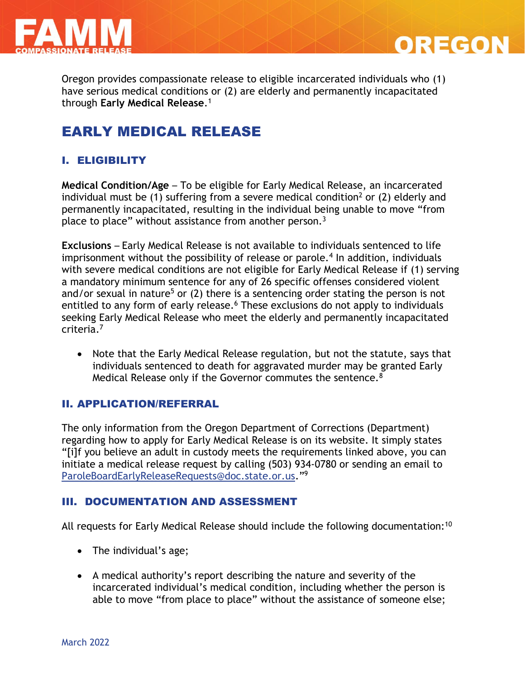

Oregon provides compassionate release to eligible incarcerated individuals who (1) have serious medical conditions or (2) are elderly and permanently incapacitated through **Early Medical Release**. 1

**OREGON** 

# EARLY MEDICAL RELEASE

## I. ELIGIBILITY

**Medical Condition/Age** – To be eligible for Early Medical Release, an incarcerated individual must be (1) suffering from a severe medical condition<sup>2</sup> or (2) elderly and permanently incapacitated, resulting in the individual being unable to move "from place to place" without assistance from another person.<sup>3</sup>

**Exclusions** – Early Medical Release is not available to individuals sentenced to life imprisonment without the possibility of release or parole.<sup>4</sup> In addition, individuals with severe medical conditions are not eligible for Early Medical Release if (1) serving a mandatory minimum sentence for any of 26 specific offenses considered violent and/or sexual in nature<sup>5</sup> or  $(2)$  there is a sentencing order stating the person is not entitled to any form of early release.<sup>6</sup> These exclusions do not apply to individuals seeking Early Medical Release who meet the elderly and permanently incapacitated criteria.<sup>7</sup>

• Note that the Early Medical Release regulation, but not the statute, says that individuals sentenced to death for aggravated murder may be granted Early Medical Release only if the Governor commutes the sentence.<sup>8</sup>

### II. APPLICATION/REFERRAL

The only information from the Oregon Department of Corrections (Department) regarding how to apply for Early Medical Release is on its website. It simply states "[i]f you believe an adult in custody meets the requirements linked above, you can initiate a medical release request by calling (503) 934-0780 or sending an email to [ParoleBoardEarlyReleaseRequests@doc.state.or.us](mailto:ParoleBoardEarlyReleaseRequests@doc.state.or.us)."<sup>9</sup>

### III. DOCUMENTATION AND ASSESSMENT

All requests for Early Medical Release should include the following documentation:<sup>10</sup>

- The individual's age;
- A medical authority's report describing the nature and severity of the incarcerated individual's medical condition, including whether the person is able to move "from place to place" without the assistance of someone else;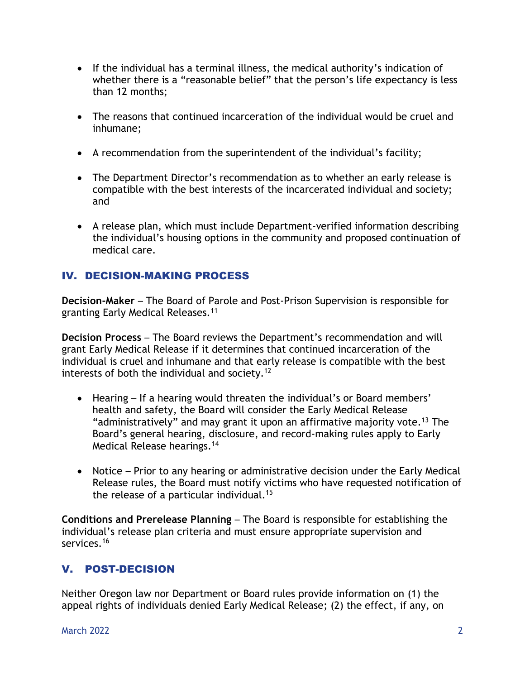- If the individual has a terminal illness, the medical authority's indication of whether there is a "reasonable belief" that the person's life expectancy is less than 12 months;
- The reasons that continued incarceration of the individual would be cruel and inhumane;
- A recommendation from the superintendent of the individual's facility;
- The Department Director's recommendation as to whether an early release is compatible with the best interests of the incarcerated individual and society; and
- A release plan, which must include Department-verified information describing the individual's housing options in the community and proposed continuation of medical care.

## IV. DECISION-MAKING PROCESS

**Decision-Maker** – The Board of Parole and Post-Prison Supervision is responsible for granting Early Medical Releases.<sup>11</sup>

**Decision Process** – The Board reviews the Department's recommendation and will grant Early Medical Release if it determines that continued incarceration of the individual is cruel and inhumane and that early release is compatible with the best interests of both the individual and society.<sup>12</sup>

- Hearing If a hearing would threaten the individual's or Board members' health and safety, the Board will consider the Early Medical Release "administratively" and may grant it upon an affirmative majority vote.<sup>13</sup> The Board's general hearing, disclosure, and record-making rules apply to Early Medical Release hearings. 14
- Notice Prior to any hearing or administrative decision under the Early Medical Release rules, the Board must notify victims who have requested notification of the release of a particular individual.<sup>15</sup>

**Conditions and Prerelease Planning** – The Board is responsible for establishing the individual's release plan criteria and must ensure appropriate supervision and services.<sup>16</sup>

## V. POST-DECISION

Neither Oregon law nor Department or Board rules provide information on (1) the appeal rights of individuals denied Early Medical Release; (2) the effect, if any, on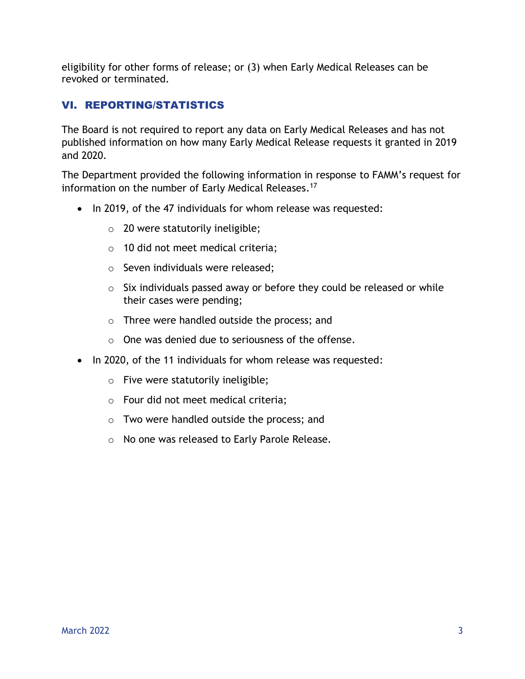eligibility for other forms of release; or (3) when Early Medical Releases can be revoked or terminated.

## VI. REPORTING/STATISTICS

The Board is not required to report any data on Early Medical Releases and has not published information on how many Early Medical Release requests it granted in 2019 and 2020.

The Department provided the following information in response to FAMM's request for information on the number of Early Medical Releases. 17

- In 2019, of the 47 individuals for whom release was requested:
	- $\circ$  20 were statutorily ineligible;
	- o 10 did not meet medical criteria;
	- o Seven individuals were released;
	- $\circ$  Six individuals passed away or before they could be released or while their cases were pending;
	- o Three were handled outside the process; and
	- o One was denied due to seriousness of the offense.
- In 2020, of the 11 individuals for whom release was requested:
	- o Five were statutorily ineligible;
	- o Four did not meet medical criteria;
	- o Two were handled outside the process; and
	- o No one was released to Early Parole Release.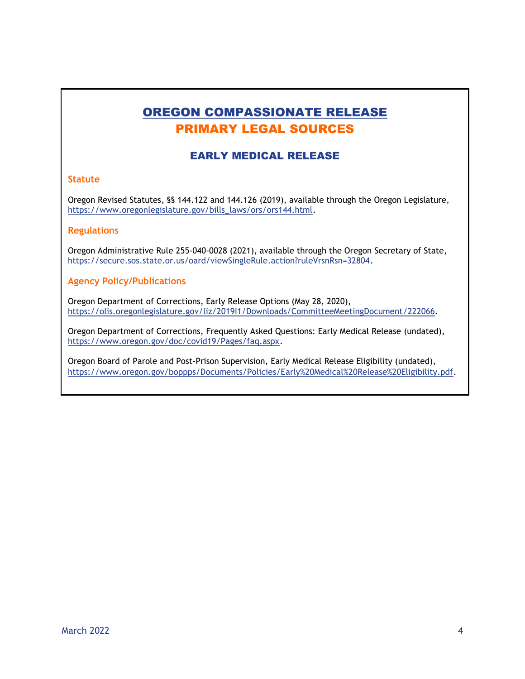# OREGON COMPASSIONATE RELEASE PRIMARY LEGAL SOURCES

### EARLY MEDICAL RELEASE

#### **Statute**

Oregon Revised Statutes, §§ 144.122 and 144.126 (2019), available through the Oregon Legislature, [https://www.oregonlegislature.gov/bills\\_laws/ors/ors144.html.](https://www.oregonlegislature.gov/bills_laws/ors/ors144.html)

#### **Regulations**

Oregon Administrative Rule 255-040-0028 (2021), available through the Oregon Secretary of State, [https://secure.sos.state.or.us/oard/viewSingleRule.action?ruleVrsnRsn=32804.](https://secure.sos.state.or.us/oard/viewSingleRule.action?ruleVrsnRsn=32804)

#### **Agency Policy/Publications**

Oregon Department of Corrections, Early Release Options (May 28, 2020), [https://olis.oregonlegislature.gov/liz/2019I1/Downloads/CommitteeMeetingDocument/222066.](https://olis.oregonlegislature.gov/liz/2019I1/Downloads/CommitteeMeetingDocument/222066)

Oregon Department of Corrections, Frequently Asked Questions: Early Medical Release (undated), [https://www.oregon.gov/doc/covid19/Pages/faq.aspx.](https://www.oregon.gov/doc/covid19/Pages/faq.aspx)

Oregon Board of Parole and Post-Prison Supervision, Early Medical Release Eligibility (undated), [https://www.oregon.gov/boppps/Documents/Policies/Early%20Medical%20Release%20Eligibility.pdf.](https://www.oregon.gov/boppps/Documents/Policies/Early%20Medical%20Release%20Eligibility.pdf)